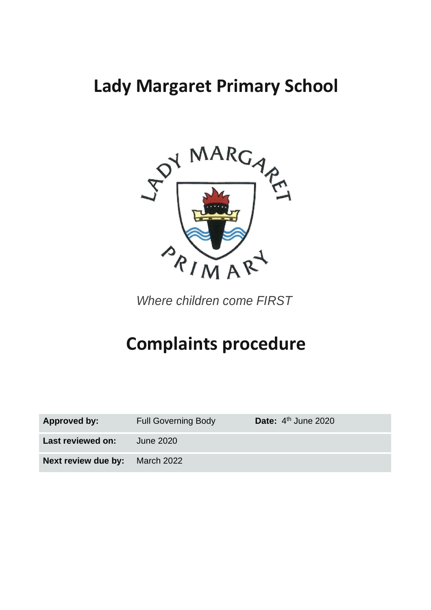# **Lady Margaret Primary School**



*Where children come FIRST*

# **Complaints procedure**

| Approved by:                          | <b>Full Governing Body</b> | Date: $4th$ June 2020 |
|---------------------------------------|----------------------------|-----------------------|
| Last reviewed on:                     | June 2020                  |                       |
| <b>Next review due by:</b> March 2022 |                            |                       |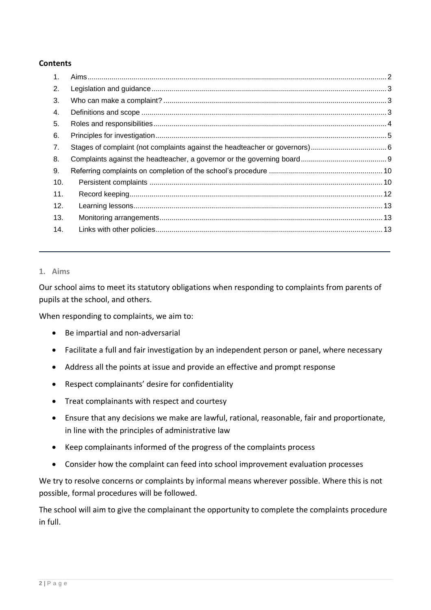#### **Contents**

| 1.  |  |
|-----|--|
| 2.  |  |
| 3.  |  |
| 4.  |  |
| 5.  |  |
| 6.  |  |
| 7.  |  |
| 8.  |  |
| 9.  |  |
| 10. |  |
| 11. |  |
| 12. |  |
| 13. |  |
| 14. |  |
|     |  |

#### <span id="page-1-0"></span>**1. Aims**

Our school aims to meet its statutory obligations when responding to complaints from parents of pupils at the school, and others.

When responding to complaints, we aim to:

- Be impartial and non-adversarial
- Facilitate a full and fair investigation by an independent person or panel, where necessary
- Address all the points at issue and provide an effective and prompt response
- Respect complainants' desire for confidentiality
- Treat complainants with respect and courtesy
- Ensure that any decisions we make are lawful, rational, reasonable, fair and proportionate, in line with the principles of administrative law
- Keep complainants informed of the progress of the complaints process
- Consider how the complaint can feed into school improvement evaluation processes

We try to resolve concerns or complaints by informal means wherever possible. Where this is not possible, formal procedures will be followed.

The school will aim to give the complainant the opportunity to complete the complaints procedure in full.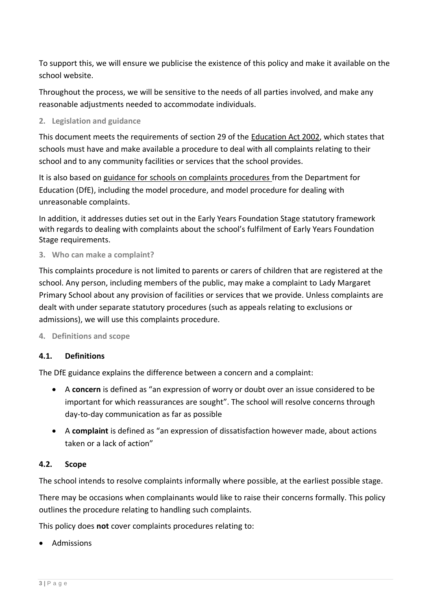To support this, we will ensure we publicise the existence of this policy and make it available on the school website.

Throughout the process, we will be sensitive to the needs of all parties involved, and make any reasonable adjustments needed to accommodate individuals.

<span id="page-2-0"></span>**2. Legislation and guidance**

This document meets the requirements of section 29 of the [Education Act 2002,](http://www.legislation.gov.uk/ukpga/2002/32/section/29) which states that schools must have and make available a procedure to deal with all complaints relating to their school and to any community facilities or services that the school provides.

It is also based on [guidance for schools on complaints procedures](https://www.gov.uk/government/publications/school-complaints-procedures) from the Department for Education (DfE), including the model procedure, and model procedure for dealing with unreasonable complaints.

In addition, it addresses duties set out in the [Early Years Foundation Stage statutory framework](https://www.gov.uk/government/publications/early-years-foundation-stage-framework--2) with regards to dealing with complaints about the school's fulfilment of Early Years Foundation Stage requirements.

<span id="page-2-1"></span>**3. Who can make a complaint?**

This complaints procedure is not limited to parents or carers of children that are registered at the school. Any person, including members of the public, may make a complaint to Lady Margaret Primary School about any provision of facilities or services that we provide. Unless complaints are dealt with under separate statutory procedures (such as appeals relating to exclusions or admissions), we will use this complaints procedure.

#### <span id="page-2-2"></span>**4. Definitions and scope**

# **4.1. Definitions**

The DfE guidance explains the difference between a concern and a complaint:

- A **concern** is defined as "an expression of worry or doubt over an issue considered to be important for which reassurances are sought". The school will resolve concerns through day-to-day communication as far as possible
- A **complaint** is defined as "an expression of dissatisfaction however made, about actions taken or a lack of action"

# **4.2. Scope**

The school intends to resolve complaints informally where possible, at the earliest possible stage.

There may be occasions when complainants would like to raise their concerns formally. This policy outlines the procedure relating to handling such complaints.

This policy does **not** cover complaints procedures relating to:

• Admissions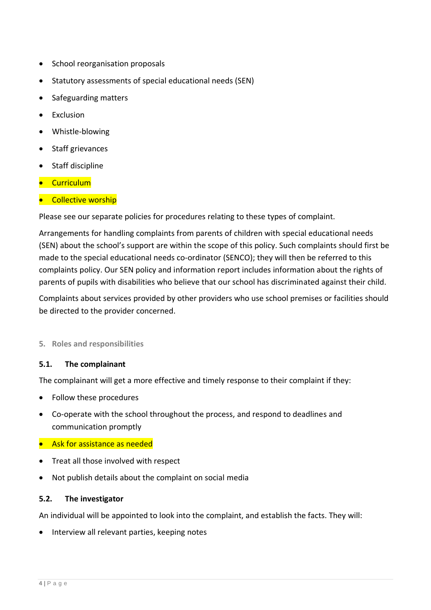- School reorganisation proposals
- Statutory assessments of special educational needs (SEN)
- Safeguarding matters
- **Exclusion**
- Whistle-blowing
- Staff grievances
- Staff discipline
- Curriculum
- **•** Collective worship

Please see our separate policies for procedures relating to these types of complaint.

Arrangements for handling complaints from parents of children with special educational needs (SEN) about the school's support are within the scope of this policy. Such complaints should first be made to the special educational needs co-ordinator (SENCO); they will then be referred to this complaints policy. Our SEN policy and information report includes information about the rights of parents of pupils with disabilities who believe that our school has discriminated against their child.

Complaints about services provided by other providers who use school premises or facilities should be directed to the provider concerned.

# <span id="page-3-0"></span>**5. Roles and responsibilities**

#### **5.1. The complainant**

The complainant will get a more effective and timely response to their complaint if they:

- Follow these procedures
- Co-operate with the school throughout the process, and respond to deadlines and communication promptly
- Ask for assistance as needed
- Treat all those involved with respect
- Not publish details about the complaint on social media

#### **5.2. The investigator**

An individual will be appointed to look into the complaint, and establish the facts. They will:

• Interview all relevant parties, keeping notes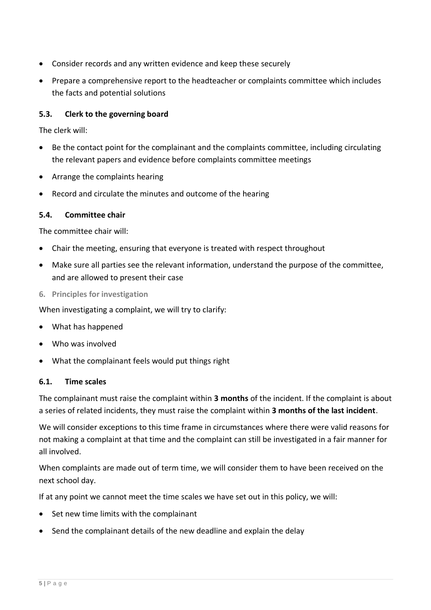- Consider records and any written evidence and keep these securely
- Prepare a comprehensive report to the headteacher or complaints committee which includes the facts and potential solutions

# **5.3. Clerk to the governing board**

The clerk will:

- Be the contact point for the complainant and the complaints committee, including circulating the relevant papers and evidence before complaints committee meetings
- Arrange the complaints hearing
- Record and circulate the minutes and outcome of the hearing

# **5.4. Committee chair**

The committee chair will:

- Chair the meeting, ensuring that everyone is treated with respect throughout
- Make sure all parties see the relevant information, understand the purpose of the committee, and are allowed to present their case
- <span id="page-4-0"></span>**6. Principles for investigation**

When investigating a complaint, we will try to clarify:

- What has happened
- Who was involved
- What the complainant feels would put things right

# **6.1. Time scales**

The complainant must raise the complaint within **3 months** of the incident. If the complaint is about a series of related incidents, they must raise the complaint within **3 months of the last incident**.

We will consider exceptions to this time frame in circumstances where there were valid reasons for not making a complaint at that time and the complaint can still be investigated in a fair manner for all involved.

When complaints are made out of term time, we will consider them to have been received on the next school day.

If at any point we cannot meet the time scales we have set out in this policy, we will:

- Set new time limits with the complainant
- Send the complainant details of the new deadline and explain the delay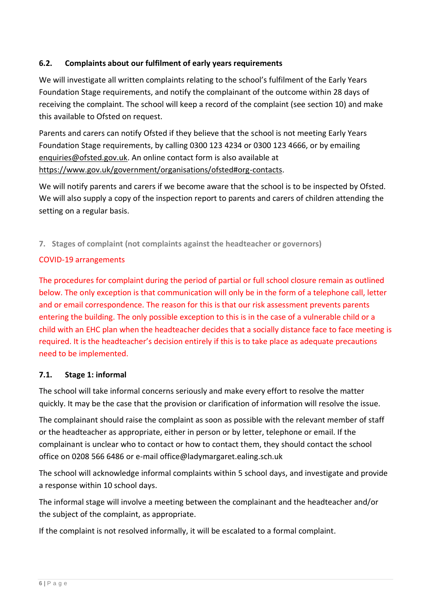# **6.2. Complaints about our fulfilment of early years requirements**

We will investigate all written complaints relating to the school's fulfilment of the Early Years Foundation Stage requirements, and notify the complainant of the outcome within 28 days of receiving the complaint. The school will keep a record of the complaint (see section 10) and make this available to Ofsted on request.

Parents and carers can notify Ofsted if they believe that the school is not meeting Early Years Foundation Stage requirements, by calling 0300 123 4234 or 0300 123 4666, or by emailing [enquiries@ofsted.gov.uk.](mailto:enquiries@ofsted.gov.uk) An online contact form is also available at [https://www.gov.uk/government/organisations/ofsted#org-contacts.](https://www.gov.uk/government/organisations/ofsted#org-contacts)

We will notify parents and carers if we become aware that the school is to be inspected by Ofsted. We will also supply a copy of the inspection report to parents and carers of children attending the setting on a regular basis.

<span id="page-5-0"></span>**7. Stages of complaint (not complaints against the headteacher or governors)**

# COVID-19 arrangements

The procedures for complaint during the period of partial or full school closure remain as outlined below. The only exception is that communication will only be in the form of a telephone call, letter and or email correspondence. The reason for this is that our risk assessment prevents parents entering the building. The only possible exception to this is in the case of a vulnerable child or a child with an EHC plan when the headteacher decides that a socially distance face to face meeting is required. It is the headteacher's decision entirely if this is to take place as adequate precautions need to be implemented.

# **7.1. Stage 1: informal**

The school will take informal concerns seriously and make every effort to resolve the matter quickly. It may be the case that the provision or clarification of information will resolve the issue.

The complainant should raise the complaint as soon as possible with the relevant member of staff or the headteacher as appropriate, either in person or by letter, telephone or email. If the complainant is unclear who to contact or how to contact them, they should contact the school office on 0208 566 6486 or e-mail office@ladymargaret.ealing.sch.uk

The school will acknowledge informal complaints within 5 school days, and investigate and provide a response within 10 school days.

The informal stage will involve a meeting between the complainant and the headteacher and/or the subject of the complaint, as appropriate.

If the complaint is not resolved informally, it will be escalated to a formal complaint.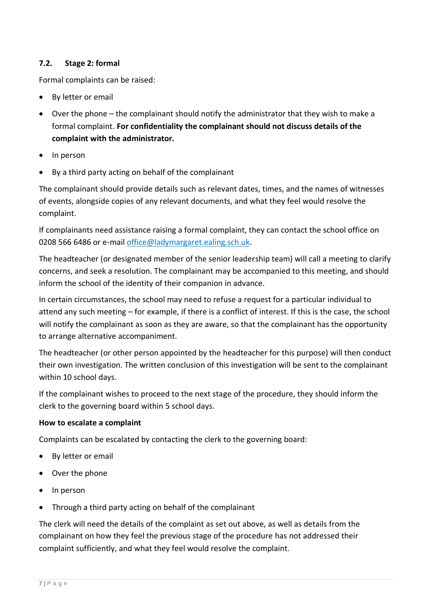# **7.2. Stage 2: formal**

Formal complaints can be raised:

- By letter or email
- Over the phone the complainant should notify the administrator that they wish to make a formal complaint. **For confidentiality the complainant should not discuss details of the complaint with the administrator.**
- In person
- By a third party acting on behalf of the complainant

The complainant should provide details such as relevant dates, times, and the names of witnesses of events, alongside copies of any relevant documents, and what they feel would resolve the complaint.

If complainants need assistance raising a formal complaint, they can contact the school office on 0208 566 6486 or e-mail [office@ladymargaret.ealing.sch.uk.](mailto:office@ladymargaret.ealing.sch.uk)

The headteacher (or designated member of the senior leadership team) will call a meeting to clarify concerns, and seek a resolution. The complainant may be accompanied to this meeting, and should inform the school of the identity of their companion in advance.

In certain circumstances, the school may need to refuse a request for a particular individual to attend any such meeting – for example, if there is a conflict of interest. If this is the case, the school will notify the complainant as soon as they are aware, so that the complainant has the opportunity to arrange alternative accompaniment.

The headteacher (or other person appointed by the headteacher for this purpose) will then conduct their own investigation. The written conclusion of this investigation will be sent to the complainant within 10 school days.

If the complainant wishes to proceed to the next stage of the procedure, they should inform the clerk to the governing board within 5 school days.

# **How to escalate a complaint**

Complaints can be escalated by contacting the clerk to the governing board:

- By letter or email
- Over the phone
- In person
- Through a third party acting on behalf of the complainant

The clerk will need the details of the complaint as set out above, as well as details from the complainant on how they feel the previous stage of the procedure has not addressed their complaint sufficiently, and what they feel would resolve the complaint.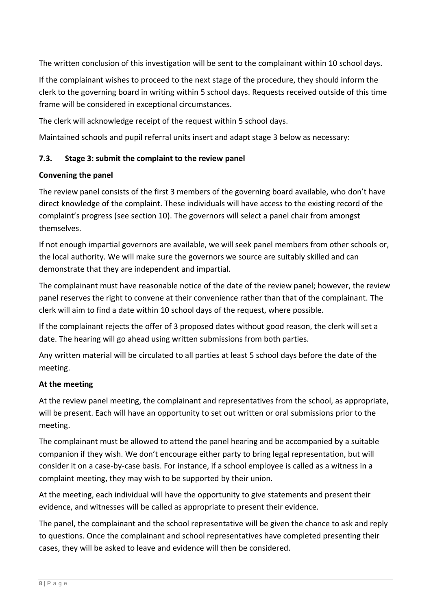The written conclusion of this investigation will be sent to the complainant within 10 school days.

If the complainant wishes to proceed to the next stage of the procedure, they should inform the clerk to the governing board in writing within 5 school days. Requests received outside of this time frame will be considered in exceptional circumstances.

The clerk will acknowledge receipt of the request within 5 school days.

Maintained schools and pupil referral units insert and adapt stage 3 below as necessary:

# **7.3. Stage 3: submit the complaint to the review panel**

# **Convening the panel**

The review panel consists of the first 3 members of the governing board available, who don't have direct knowledge of the complaint. These individuals will have access to the existing record of the complaint's progress (see section 10). The governors will select a panel chair from amongst themselves.

If not enough impartial governors are available, we will seek panel members from other schools or, the local authority. We will make sure the governors we source are suitably skilled and can demonstrate that they are independent and impartial.

The complainant must have reasonable notice of the date of the review panel; however, the review panel reserves the right to convene at their convenience rather than that of the complainant. The clerk will aim to find a date within 10 school days of the request, where possible.

If the complainant rejects the offer of 3 proposed dates without good reason, the clerk will set a date. The hearing will go ahead using written submissions from both parties.

Any written material will be circulated to all parties at least 5 school days before the date of the meeting.

# **At the meeting**

At the review panel meeting, the complainant and representatives from the school, as appropriate, will be present. Each will have an opportunity to set out written or oral submissions prior to the meeting.

The complainant must be allowed to attend the panel hearing and be accompanied by a suitable companion if they wish. We don't encourage either party to bring legal representation, but will consider it on a case-by-case basis. For instance, if a school employee is called as a witness in a complaint meeting, they may wish to be supported by their union.

At the meeting, each individual will have the opportunity to give statements and present their evidence, and witnesses will be called as appropriate to present their evidence.

The panel, the complainant and the school representative will be given the chance to ask and reply to questions. Once the complainant and school representatives have completed presenting their cases, they will be asked to leave and evidence will then be considered.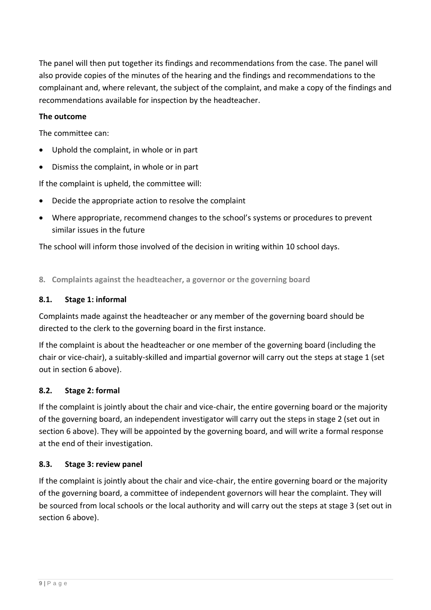The panel will then put together its findings and recommendations from the case. The panel will also provide copies of the minutes of the hearing and the findings and recommendations to the complainant and, where relevant, the subject of the complaint, and make a copy of the findings and recommendations available for inspection by the headteacher.

#### **The outcome**

The committee can:

- Uphold the complaint, in whole or in part
- Dismiss the complaint, in whole or in part

If the complaint is upheld, the committee will:

- Decide the appropriate action to resolve the complaint
- Where appropriate, recommend changes to the school's systems or procedures to prevent similar issues in the future

The school will inform those involved of the decision in writing within 10 school days.

<span id="page-8-0"></span>**8. Complaints against the headteacher, a governor or the governing board**

#### **8.1. Stage 1: informal**

Complaints made against the headteacher or any member of the governing board should be directed to the clerk to the governing board in the first instance.

If the complaint is about the headteacher or one member of the governing board (including the chair or vice-chair), a suitably-skilled and impartial governor will carry out the steps at stage 1 (set out in section 6 above).

# **8.2. Stage 2: formal**

If the complaint is jointly about the chair and vice-chair, the entire governing board or the majority of the governing board, an independent investigator will carry out the steps in stage 2 (set out in section 6 above). They will be appointed by the governing board, and will write a formal response at the end of their investigation.

# **8.3. Stage 3: review panel**

If the complaint is jointly about the chair and vice-chair, the entire governing board or the majority of the governing board, a committee of independent governors will hear the complaint. They will be sourced from local schools or the local authority and will carry out the steps at stage 3 (set out in section 6 above).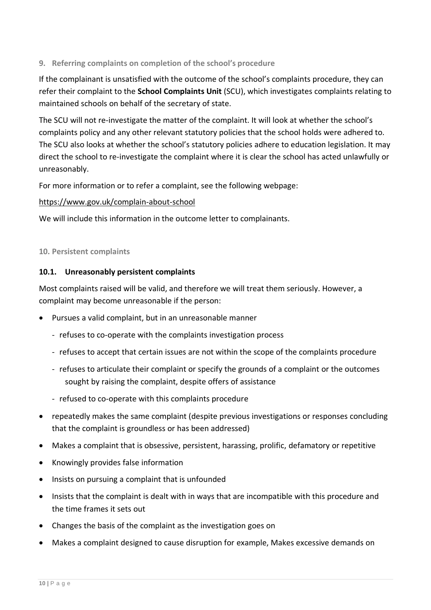# <span id="page-9-0"></span>**9. Referring complaints on completion of the school's procedure**

If the complainant is unsatisfied with the outcome of the school's complaints procedure, they can refer their complaint to the **School Complaints Unit** (SCU), which investigates complaints relating to maintained schools on behalf of the secretary of state.

The SCU will not re-investigate the matter of the complaint. It will look at whether the school's complaints policy and any other relevant statutory policies that the school holds were adhered to. The SCU also looks at whether the school's statutory policies adhere to education legislation. It may direct the school to re-investigate the complaint where it is clear the school has acted unlawfully or unreasonably.

For more information or to refer a complaint, see the following webpage:

# <https://www.gov.uk/complain-about-school>

We will include this information in the outcome letter to complainants.

#### <span id="page-9-1"></span>**10. Persistent complaints**

# **10.1. Unreasonably persistent complaints**

Most complaints raised will be valid, and therefore we will treat them seriously. However, a complaint may become unreasonable if the person:

- Pursues a valid complaint, but in an unreasonable manner
	- refuses to co-operate with the complaints investigation process
	- refuses to accept that certain issues are not within the scope of the complaints procedure
	- refuses to articulate their complaint or specify the grounds of a complaint or the outcomes sought by raising the complaint, despite offers of assistance
	- refused to co-operate with this complaints procedure
- repeatedly makes the same complaint (despite previous investigations or responses concluding that the complaint is groundless or has been addressed)
- Makes a complaint that is obsessive, persistent, harassing, prolific, defamatory or repetitive
- Knowingly provides false information
- Insists on pursuing a complaint that is unfounded
- Insists that the complaint is dealt with in ways that are incompatible with this procedure and the time frames it sets out
- Changes the basis of the complaint as the investigation goes on
- Makes a complaint designed to cause disruption for example, Makes excessive demands on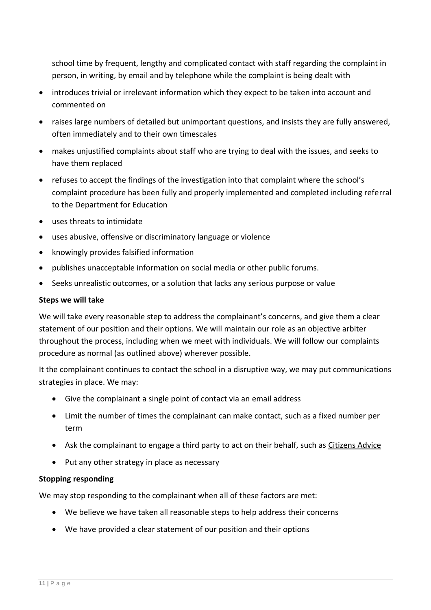school time by frequent, lengthy and complicated contact with staff regarding the complaint in person, in writing, by email and by telephone while the complaint is being dealt with

- introduces trivial or irrelevant information which they expect to be taken into account and commented on
- raises large numbers of detailed but unimportant questions, and insists they are fully answered, often immediately and to their own timescales
- makes unjustified complaints about staff who are trying to deal with the issues, and seeks to have them replaced
- refuses to accept the findings of the investigation into that complaint where the school's complaint procedure has been fully and properly implemented and completed including referral to the Department for Education
- uses threats to intimidate
- uses abusive, offensive or discriminatory language or violence
- knowingly provides falsified information
- publishes unacceptable information on social media or other public forums.
- Seeks unrealistic outcomes, or a solution that lacks any serious purpose or value

#### **Steps we will take**

We will take every reasonable step to address the complainant's concerns, and give them a clear statement of our position and their options. We will maintain our role as an objective arbiter throughout the process, including when we meet with individuals. We will follow our complaints procedure as normal (as outlined above) wherever possible.

It the complainant continues to contact the school in a disruptive way, we may put communications strategies in place. We may:

- Give the complainant a single point of contact via an email address
- Limit the number of times the complainant can make contact, such as a fixed number per term
- Ask the complainant to engage a third party to act on their behalf, such as [Citizens Advice](https://www.citizensadvice.org.uk/)
- Put any other strategy in place as necessary

# **Stopping responding**

We may stop responding to the complainant when all of these factors are met:

- We believe we have taken all reasonable steps to help address their concerns
- We have provided a clear statement of our position and their options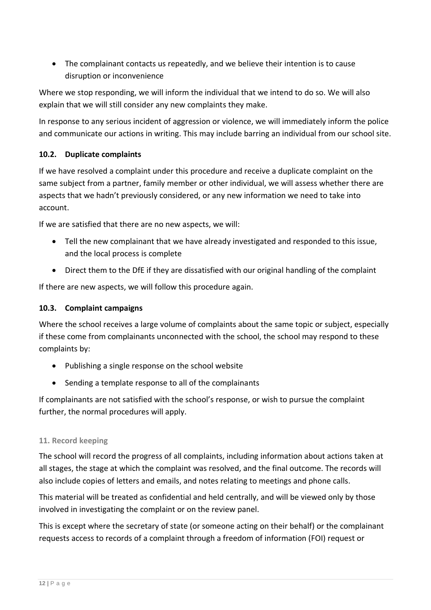• The complainant contacts us repeatedly, and we believe their intention is to cause disruption or inconvenience

Where we stop responding, we will inform the individual that we intend to do so. We will also explain that we will still consider any new complaints they make.

In response to any serious incident of aggression or violence, we will immediately inform the police and communicate our actions in writing. This may include barring an individual from our school site.

# **10.2. Duplicate complaints**

If we have resolved a complaint under this procedure and receive a duplicate complaint on the same subject from a partner, family member or other individual, we will assess whether there are aspects that we hadn't previously considered, or any new information we need to take into account.

If we are satisfied that there are no new aspects, we will:

- Tell the new complainant that we have already investigated and responded to this issue, and the local process is complete
- Direct them to the DfE if they are dissatisfied with our original handling of the complaint

If there are new aspects, we will follow this procedure again.

# **10.3. Complaint campaigns**

Where the school receives a large volume of complaints about the same topic or subject, especially if these come from complainants unconnected with the school, the school may respond to these complaints by:

- Publishing a single response on the school website
- Sending a template response to all of the complainants

If complainants are not satisfied with the school's response, or wish to pursue the complaint further, the normal procedures will apply.

# <span id="page-11-0"></span>**11. Record keeping**

The school will record the progress of all complaints, including information about actions taken at all stages, the stage at which the complaint was resolved, and the final outcome. The records will also include copies of letters and emails, and notes relating to meetings and phone calls.

This material will be treated as confidential and held centrally, and will be viewed only by those involved in investigating the complaint or on the review panel.

This is except where the secretary of state (or someone acting on their behalf) or the complainant requests access to records of a complaint through a freedom of information (FOI) request or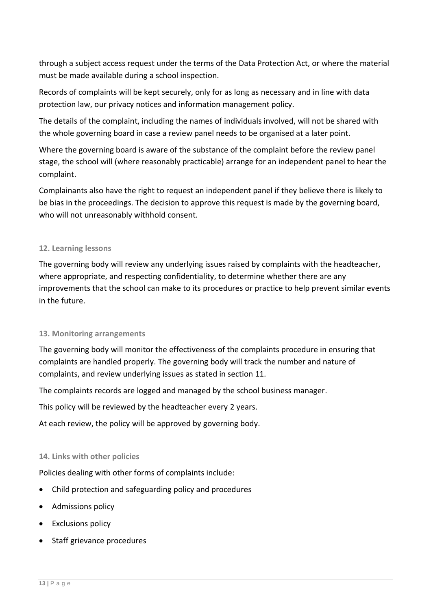through a subject access request under the terms of the Data Protection Act, or where the material must be made available during a school inspection.

Records of complaints will be kept securely, only for as long as necessary and in line with data protection law, our privacy notices and information management policy.

The details of the complaint, including the names of individuals involved, will not be shared with the whole governing board in case a review panel needs to be organised at a later point.

Where the governing board is aware of the substance of the complaint before the review panel stage, the school will (where reasonably practicable) arrange for an independent panel to hear the complaint.

Complainants also have the right to request an independent panel if they believe there is likely to be bias in the proceedings. The decision to approve this request is made by the governing board, who will not unreasonably withhold consent.

#### <span id="page-12-0"></span>**12. Learning lessons**

The governing body will review any underlying issues raised by complaints with the headteacher, where appropriate, and respecting confidentiality, to determine whether there are any improvements that the school can make to its procedures or practice to help prevent similar events in the future.

#### <span id="page-12-1"></span>**13. Monitoring arrangements**

The governing body will monitor the effectiveness of the complaints procedure in ensuring that complaints are handled properly. The governing body will track the number and nature of complaints, and review underlying issues as stated in section 11.

The complaints records are logged and managed by the school business manager.

This policy will be reviewed by the headteacher every 2 years.

At each review, the policy will be approved by governing body.

# <span id="page-12-2"></span>**14. Links with other policies**

Policies dealing with other forms of complaints include:

- Child protection and safeguarding policy and procedures
- Admissions policy
- Exclusions policy
- Staff grievance procedures